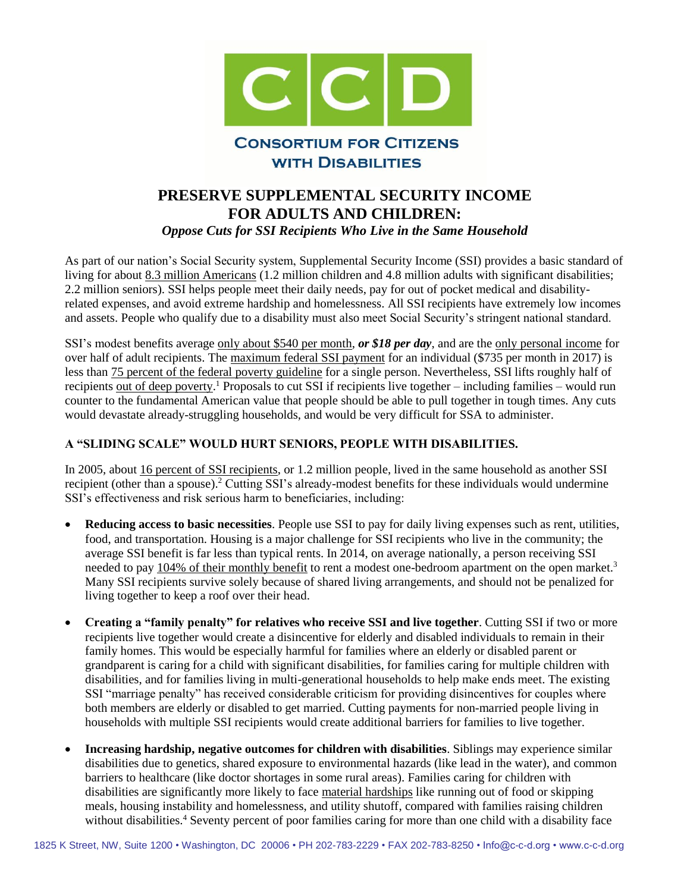

## **PRESERVE SUPPLEMENTAL SECURITY INCOME FOR ADULTS AND CHILDREN:** *Oppose Cuts for SSI Recipients Who Live in the Same Household*

As part of our nation's Social Security system, Supplemental Security Income (SSI) provides a basic standard of living for about [8.3 million Americans](https://www.ssa.gov/policy/docs/quickfacts/stat_snapshot/index.html#table3) (1.2 million children and 4.8 million adults with significant disabilities; 2.2 million seniors). SSI helps people meet their daily needs, pay for out of pocket medical and disabilityrelated expenses, and avoid extreme hardship and homelessness. All SSI recipients have extremely low incomes and assets. People who qualify due to a disability must also meet Social Security's stringent national standard.

SSI's modest benefits average [only about \\$540 per month,](https://www.ssa.gov/policy/docs/quickfacts/stat_snapshot/index.html#table3) *or \$18 per day*, and are the [only personal income](https://www.ssa.gov/policy/docs/statcomps/ssi_asr/2015/sect02.html#table8) for over half of adult recipients. The [maximum federal SSI payment](https://www.ssa.gov/oact/cola/SSI.html) for an individual (\$735 per month in 2017) is less than [75 percent of the federal poverty guideline](https://aspe.hhs.gov/poverty-guidelines) for a single person. Nevertheless, SSI lifts roughly half of recipients <u>out of deep poverty</u>.<sup>1</sup> Proposals to cut SSI if recipients live together – including families – would run counter to the fundamental American value that people should be able to pull together in tough times. Any cuts would devastate already-struggling households, and would be very difficult for SSA to administer.

## **A "SLIDING SCALE" WOULD HURT SENIORS, PEOPLE WITH DISABILITIES.**

In 2005, about [16 percent of SSI recipients,](https://www.ssa.gov/policy/docs/ssb/v73n3/v73n3p11.html) or 1.2 million people, lived in the same household as another SSI recipient (other than a spouse).<sup>2</sup> Cutting SSI's already-modest benefits for these individuals would undermine SSI's effectiveness and risk serious harm to beneficiaries, including:

- **Reducing access to basic necessities**. People use SSI to pay for daily living expenses such as rent, utilities, food, and transportation. Housing is a major challenge for SSI recipients who live in the community; the average SSI benefit is far less than typical rents. In 2014, on average nationally, a person receiving SSI needed to pay [104% of their monthly b](http://www.tacinc.org/media/52018/Priced%20Out%20in%202014%20Fact%20Sheet.pdf)enefit to rent a modest one-bedroom apartment on the open market.<sup>3</sup> Many SSI recipients survive solely because of shared living arrangements, and should not be penalized for living together to keep a roof over their head.
- **Creating a "family penalty" for relatives who receive SSI and live together**. Cutting SSI if two or more recipients live together would create a disincentive for elderly and disabled individuals to remain in their family homes. This would be especially harmful for families where an elderly or disabled parent or grandparent is caring for a child with significant disabilities, for families caring for multiple children with disabilities, and for families living in multi-generational households to help make ends meet. The existing SSI "marriage penalty" has received considerable criticism for providing disincentives for couples where both members are elderly or disabled to get married. Cutting payments for non-married people living in households with multiple SSI recipients would create additional barriers for families to live together.
- **Increasing hardship, negative outcomes for children with disabilities**. Siblings may experience similar disabilities due to genetics, shared exposure to environmental hazards (like lead in the water), and common barriers to healthcare (like doctor shortages in some rural areas). Families caring for children with disabilities are significantly more likely to face [material hardships](http://www.realeconomicimpact.org/data/files/reports/outside%20reports/material%20hardship%20children%20with%20disabs.pdf) like running out of food or skipping meals, housing instability and homelessness, and utility shutoff, compared with families raising children without disabilities.<sup>4</sup> Seventy percent of poor families caring for more than one child with a disability face